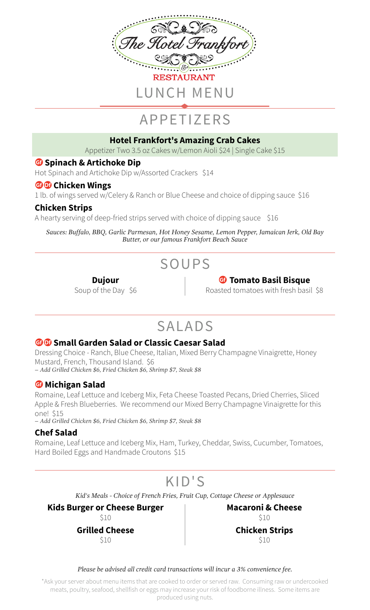

# APPETIZERS

#### **Hotel Frankfort's Amazing Crab Cakes**

Appetizer Two 3.5 oz Cakes w/Lemon Aioli \$24 | Single Cake \$15

#### *G* Spinach & Artichoke Dip

Hot Spinach and Artichoke Dip w/Assorted Crackers \$14

#### **GO** Chicken Wings

1 lb. of wings served w/Celery & Ranch or Blue Cheese and choice of dipping sauce \$16

### **Chicken Strips**

A hearty serving of deep-fried strips served with choice of dipping sauce \$16

*Sauces: Buffalo, BBQ, Garlic Parmesan, Hot Honey Sesame, Lemon Pepper, Jamaican Jerk, Old Bay Butter, or our famous Frankfort Beach Sauce*

# SOUPS

**Dujour** Soup of the Day \$6

## *G* Tomato Basil Bisque

Roasted tomatoes with fresh basil \$8

## SALADS

### **GO** Small Garden Salad or Classic Caesar Salad

Dressing Choice - Ranch, Blue Cheese, Italian, Mixed Berry Champagne Vinaigrette, Honey Mustard, French, Thousand Island. \$6 *– Add Grilled Chicken \$6, Fried Chicken \$6, Shrimp \$7, Steak \$8*

### **G** Michigan Salad

Romaine, Leaf Lettuce and Iceberg Mix, Feta Cheese Toasted Pecans, Dried Cherries, Sliced Apple & Fresh Blueberries. We recommend our Mixed Berry Champagne Vinaigrette for this one! \$15

*– Add Grilled Chicken \$6, Fried Chicken \$6, Shrimp \$7, Steak \$8*

### **Chef Salad**

Romaine, Leaf Lettuce and Iceberg Mix, Ham, Turkey, Cheddar, Swiss, Cucumber, Tomatoes, Hard Boiled Eggs and Handmade Croutons \$15

## KID'S

*Kid's Meals - Choice of French Fries, Fruit Cup, Cottage Cheese or Applesauce*

**Kids Burger or Cheese Burger** \$10

**Grilled Cheese** \$10

**Macaroni & Cheese** \$10 **Chicken Strips** \$10

*Please be advised all credit card transactions will incur a 3% convenience fee.*

\*Ask your server about menu items that are cooked to order or served raw. Consuming raw or undercooked meats, poultry, seafood, shellfish or eggs may increase your risk of foodborne illness. Some items are produced using nuts.